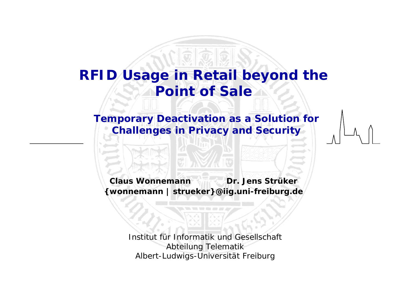## **RFID Usage in Retail beyond the Point of Sale**

**Temporary Deactivation as a Solution for Challenges in Privacy and Security**

**Claus Wonnemann Dr. Jens Strüker{wonnemann | strueker}@iig.uni-freiburg.de**

> Institut für Informatik und Gesellschaft Abteilung Telematik Albert-Ludwigs-Universität Freiburg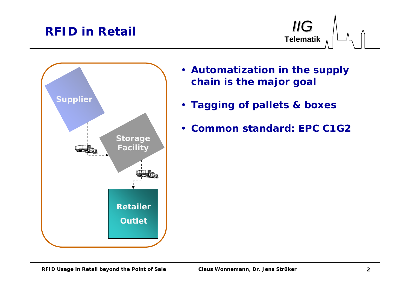### **RFID in Retail**





- **Automatization in the supply chain is the major goal**
- **Tagging of pallets & boxes**
- **Common standard:** *EPC C1G2*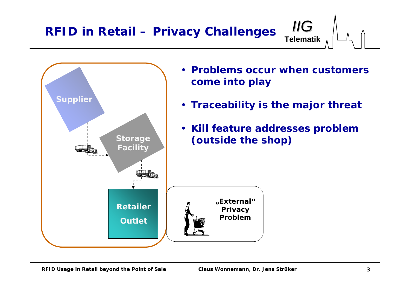**RFID in Retail – Privacy Challenges**



• **Problems occur when customerscome into play**

**Telematik**

*IIG*

- **Traceability is the major threat**
- *Kill* **feature addresses problem (outside the shop)**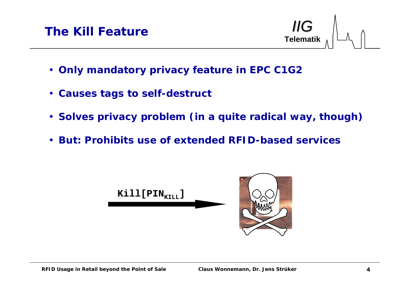**Telematik***IIG*

- **Only mandatory privacy feature in EPC C1G2**
- **Causes tags to self-destruct**
- **Solves privacy problem (in a quite radical way, though)**
- **But: Prohibits use of extended RFID-based services**

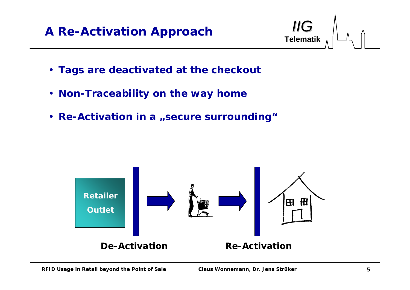### **A Re-Activation Approach**



- **Tags are deactivated at the checkout**
- **Non-Traceability on the way home**
- Re-Activation in a "secure surrounding"

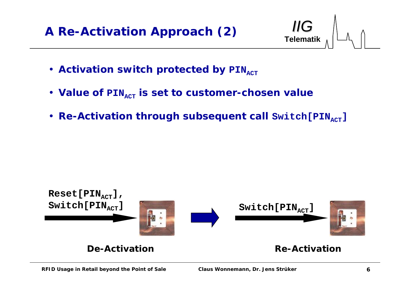

- Activation switch protected by PIN<sub>ACT</sub>
- Value of  $\texttt{PIN}_{\texttt{ACT}}$  is set to customer-chosen value
- Re-Activation through subsequent call  $\texttt{Switch[PIN_{ACT}]}$

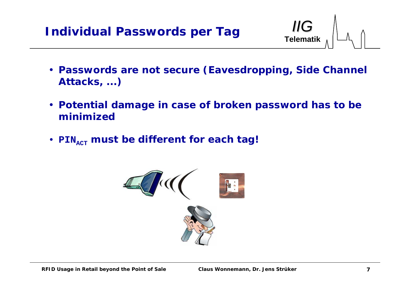

- **Passwords are not secure (Eavesdropping, Side Channel Attacks, ...)**
- **Potential damage in case of broken password has to be minimized**
- PIN<sub>ACT</sub> must be different for each tag!

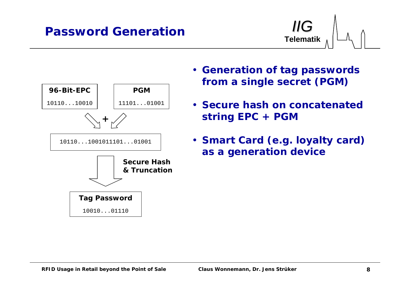#### **Password Generation**





- **Generation of tag passwords from a single secret (PGM)**
- **Secure hash on concatenated string EPC + PGM**
- **Smart Card (e.g. loyalty card) as a generation device**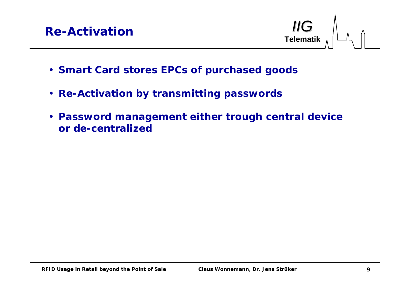**Telematik***IIG*



- **Smart Card stores EPCs of purchased goods**
- **Re-Activation by transmitting passwords**
- **Password management either trough central device or de-centralized**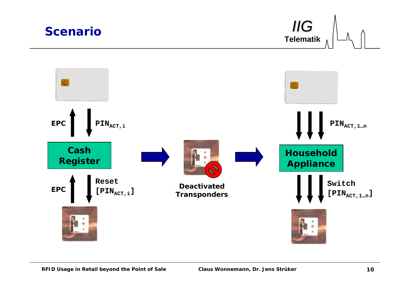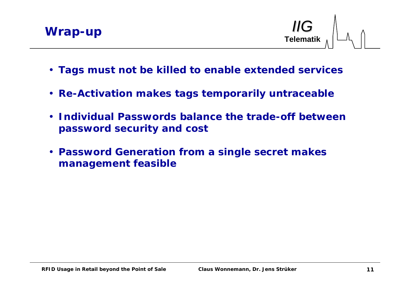

**Telematik**



- **Tags must not be killed to enable extended services**
- **Re-Activation makes tags temporarily untraceable**
- **Individual Passwords balance the trade-off between password security and cost**
- **Password Generation from a single secret makes management feasible**